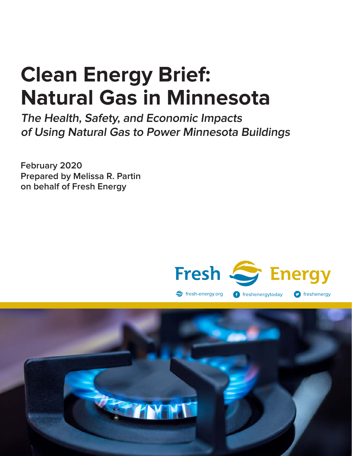# **Clean Energy Brief: Natural Gas in Minnesota**

**The Health, Safety, and Economic Impacts of Using Natural Gas to Power Minnesota Buildings**

**February 2020 Prepared by Melissa R. Partin on behalf of Fresh Energy**



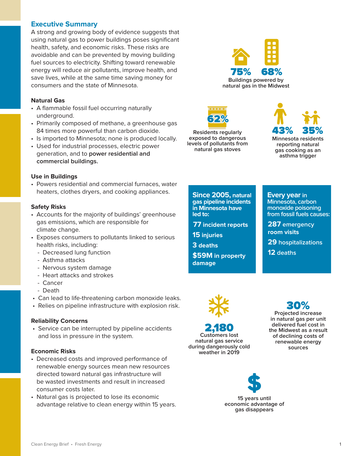## **Executive Summary**

A strong and growing body of evidence suggests that using natural gas to power buildings poses significant health, safety, and economic risks. These risks are avoidable and can be prevented by moving building fuel sources to electricity. Shifting toward renewable energy will reduce air pollutants, improve health, and save lives, while at the same time saving money for consumers and the state of Minnesota.

#### **Natural Gas**

- A flammable fossil fuel occurring naturally underground.
- Primarily composed of methane, a greenhouse gas 84 times more powerful than carbon dioxide.
- Is imported to Minnesota; none is produced locally.
- Used for industrial processes, electric power generation, and to **power residential and commercial buildings.**

#### **Use in Buildings**

• Powers residential and commercial furnaces, water heaters, clothes dryers, and cooking appliances.

#### **Safety Risks**

- Accounts for the majority of buildings' greenhouse gas emissions, which are responsible for climate change.
- Exposes consumers to pollutants linked to serious health risks, including:
	- Decreased lung function
	- Asthma attacks
	- Nervous system damage
	- Heart attacks and strokes
	- Cancer
	- Death
- Can lead to life-threatening carbon monoxide leaks.
- Relies on pipeline infrastructure with explosion risk.

#### **Reliability Concerns**

 • Service can be interrupted by pipeline accidents and loss in pressure in the system.

#### **Economic Risks**

- Decreased costs and improved performance of renewable energy sources mean new resources directed toward natural gas infrastructure will be wasted investments and result in increased consumer costs later.
- Natural gas is projected to lose its economic advantage relative to clean energy within 15 years.





**Residents regularly exposed to dangerous levels of pollutants from natural gas stoves**



**Since 2005, natural gas pipeline incidents in Minnesota have led to:**

**77 incident reports**

**15 injuries**

**3 deaths**

**\$59M in property damage**

#### **Every year in**

**Minnesota, carbon monoxide poisoning from fossil fuels causes:**

**287 emergency room visits** 

**29 hospitalizations**

**12 deaths**



2,180 **Customers lost natural gas service during dangerously cold weather in 2019**

30% **Projected increase in natural gas per unit delivered fuel cost in the Midwest as a result of declining costs of renewable energy sources** 



**15 years until economic advantage of gas disappears**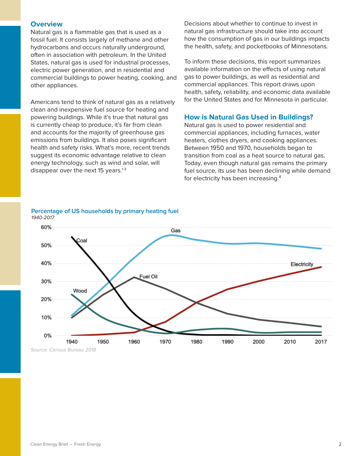## **Overview**

Natural gas is a flammable gas that is used as a fossil fuel. It consists largely of methane and other hydrocarbons and occurs naturally underground, often in association with petroleum. In the United States, natural gas is used for industrial processes, electric power generation, and in residential and commercial buildings to power heating, cooking, and other appliances.

Americans tend to think of natural gas as a relatively clean and inexpensive fuel source for heating and powering buildings. While it's true that natural gas is currently cheap to produce, it's far from clean and accounts for the majority of greenhouse gas emissions from buildings. It also poses significant health and safety risks. What's more, recent trends suggest its economic advantage relative to clean energy technology, such as wind and solar, will disappear over the next 15 years. $1-3$ 

Decisions about whether to continue to invest in natural gas infrastructure should take into account how the consumption of gas in our buildings impacts the health, safety, and pocketbooks of Minnesotans.

To inform these decisions, this report summarizes available information on the effects of using natural gas to power buildings, as well as residential and commercial appliances. This report draws upon health, safety, reliability, and economic data available for the United States and for Minnesota in particular.

#### **How is Natural Gas Used in Buildings?**

Natural gas is used to power residential and commercial appliances, including furnaces, water heaters, clothes dryers, and cooking appliances. Between 1950 and 1970, households began to transition from coal as a heat source to natural gas. Today, even though natural gas remains the primary fuel source, its use has been declining while demand for electricity has been increasing.4



**Percentage of US households by primary heating fuel** 1940-2017

Source: Census Bureau 2018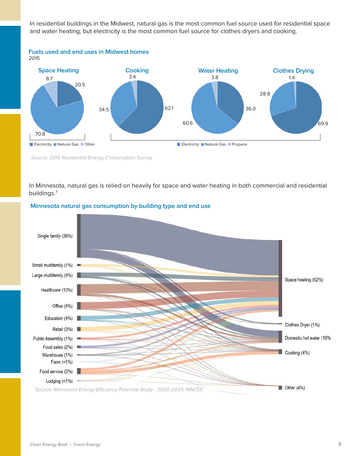In residential buildings in the Midwest, natural gas is the most common fuel source used for residential space and water heating, but electricity is the most common fuel source for clothes dryers and cooking.



Source: 2015 Residential Energy Consumption Survey

In Minnesota, natural gas is relied on heavily for space and water heating in both commercial and residential buildings.7



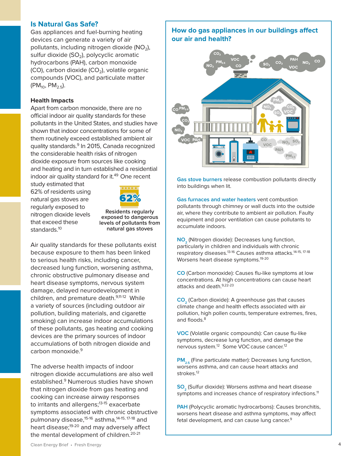## **Is Natural Gas Safe?**

Gas appliances and fuel-burning heating devices can generate a variety of air pollutants, including nitrogen dioxide ( $NO<sub>2</sub>$ ), sulfur dioxide  $(SO<sub>2</sub>)$ , polycyclic aromatic hydrocarbons (PAH), carbon monoxide  $(CO)$ , carbon dioxide  $(CO<sub>2</sub>)$ , volatile organic compounds (VOC), and particulate matter  $(PM_{10}, PM_{2.5}).$ 

#### **Health Impacts**

Apart from carbon monoxide, there are no official indoor air quality standards for these pollutants in the United States, and studies have shown that indoor concentrations for some of them routinely exceed established ambient air quality standards.<sup>9</sup> In 2015, Canada recognized the considerable health risks of nitrogen dioxide exposure from sources like cooking and heating and in turn established a residential indoor air quality standard for it.<sup>49</sup> One recent

study estimated that 62% of residents using natural gas stoves are regularly exposed to nitrogen dioxide levels that exceed these standards.<sup>10</sup>



**Residents regularly exposed to dangerous levels of pollutants from natural gas stoves**

Air quality standards for these pollutants exist because exposure to them has been linked to serious health risks, including cancer, decreased lung function, worsening asthma, chronic obstructive pulmonary disease and heart disease symptoms, nervous system damage, delayed neurodevelopment in children, and premature death.<sup>9,11-12</sup> While a variety of sources (including outdoor air pollution, building materials, and cigarette smoking) can increase indoor accumulations of these pollutants, gas heating and cooking devices are the primary sources of indoor accumulations of both nitrogen dioxide and  $carbon$  monoxide  $9$ 

The adverse health impacts of indoor nitrogen dioxide accumulations are also well established.<sup>9</sup> Numerous studies have shown that nitrogen dioxide from gas heating and cooking can increase airway responses to irritants and allergens;<sup>13-15</sup> exacerbate symptoms associated with chronic obstructive pulmonary disease,<sup>15-16</sup> asthma,<sup>14-15, 17-18</sup> and heart disease;<sup>19-20</sup> and may adversely affect the mental development of children.<sup>20-21</sup>

## **How do gas appliances in our buildings affect our air and health?**



**Gas stove burners** release combustion pollutants directly into buildings when lit.

**Gas furnaces and water heaters** vent combustion pollutants through chimney or wall ducts into the outside air, where they contribute to ambient air pollution. Faulty equipment and poor ventilation can cause pollutants to accumulate indoors.

NO<sub>2</sub> (Nitrogen dioxide): Decreases lung function, particularly in children and individuals with chronic respiratory diseases.13-16 Causes asthma attacks.14-15, 17-18 Worsens heart disease symptoms.<sup>19-20</sup>

**CO** (Carbon monoxide): Causes flu-like symptoms at low concentrations. At high concentrations can cause heart attacks and death. 9,22-23

**CO<sub>2</sub>** (Carbon dioxide): A greenhouse gas that causes climate change and health effects associated with air pollution, high pollen counts, temperature extremes, fires, and floods.<sup>8</sup>

**VOC** (Volatile organic compounds): Can cause flu-like symptoms, decrease lung function, and damage the nervous system.<sup>12</sup> Some VOC cause cancer.<sup>12</sup>

**PM<sub>2.5</sub>** (Fine particulate matter): Decreases lung function, worsens asthma, and can cause heart attacks and strokes.<sup>12</sup>

**SO<sub>2</sub>** (Sulfur dioxide): Worsens asthma and heart disease symptoms and increases chance of respiratory infections.<sup>11</sup>

**PAH** (Polycyclic aromatic hydrocarbons): Causes bronchitis, worsens heart disease and asthma symptoms, may affect fetal development, and can cause lung cancer.<sup>9</sup>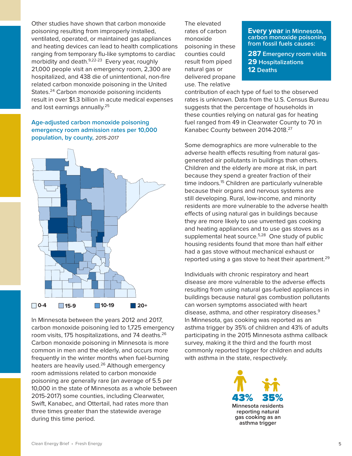Other studies have shown that carbon monoxide poisoning resulting from improperly installed, ventilated, operated, or maintained gas appliances and heating devices can lead to health complications ranging from temporary flu-like symptoms to cardiac morbidity and death.<sup>9,22-23</sup> Every year, roughly 21,000 people visit an emergency room, 2,300 are hospitalized, and 438 die of unintentional, non-fire related carbon monoxide poisoning in the United States.<sup>24</sup> Carbon monoxide poisoning incidents result in over \$1.3 billion in acute medical expenses and lost earnings annually.<sup>25</sup>

## **Age-adjusted carbon monoxide poisoning emergency room admission rates per 10,000 population, by county,** 2015-2017



In Minnesota between the years 2012 and 2017, carbon monoxide poisoning led to 1,725 emergency room visits, 175 hospitalizations, and 74 deaths.<sup>26</sup> Carbon monoxide poisoning in Minnesota is more common in men and the elderly, and occurs more frequently in the winter months when fuel-burning heaters are heavily used.<sup>26</sup> Although emergency room admissions related to carbon monoxide poisoning are generally rare (an average of 5.5 per 10,000 in the state of Minnesota as a whole between 2015-2017) some counties, including Clearwater, Swift, Kanabec, and Ottertail, had rates more than three times greater than the statewide average during this time period.

The elevated rates of carbon monoxide poisoning in these counties could result from piped natural gas or delivered propane use. The relative

#### **Every year in Minnesota, carbon monoxide poisoning from fossil fuels causes:**

**287 Emergency room visits 29 Hospitalizations 12 Deaths**

contribution of each type of fuel to the observed rates is unknown. Data from the U.S. Census Bureau suggests that the percentage of households in these counties relying on natural gas for heating fuel ranged from 49 in Clearwater County to 70 in Kanabec County between 2014-2018.27

Some demographics are more vulnerable to the adverse health effects resulting from natural gasgenerated air pollutants in buildings than others. Children and the elderly are more at risk, in part because they spend a greater fraction of their time indoors.<sup>15</sup> Children are particularly vulnerable because their organs and nervous systems are still developing. Rural, low-income, and minority residents are more vulnerable to the adverse health effects of using natural gas in buildings because they are more likely to use unvented gas cooking and heating appliances and to use gas stoves as a supplemental heat source.<sup>5,28</sup> One study of public housing residents found that more than half either had a gas stove without mechanical exhaust or reported using a gas stove to heat their apartment.<sup>29</sup>

Individuals with chronic respiratory and heart disease are more vulnerable to the adverse effects resulting from using natural gas-fueled appliances in buildings because natural gas combustion pollutants can worsen symptoms associated with heart disease, asthma, and other respiratory diseases.<sup>9</sup> In Minnesota, gas cooking was reported as an asthma trigger by 35% of children and 43% of adults participating in the 2015 Minnesota asthma callback survey, making it the third and the fourth most commonly reported trigger for children and adults with asthma in the state, respectively.

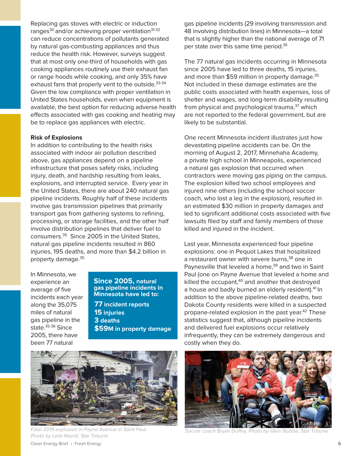Replacing gas stoves with electric or induction ranges<sup>30</sup> and/or achieving proper ventilation<sup>31-32</sup> can reduce concentrations of pollutants generated by natural gas-combusting appliances and thus reduce the health risk. However, surveys suggest that at most only one-third of households with gas cooking appliances routinely use their exhaust fan or range hoods while cooking, and only 35% have exhaust fans that properly vent to the outside.<sup>33-34</sup> Given the low compliance with proper ventilation in United States households, even when equipment is available, the best option for reducing adverse health effects associated with gas cooking and heating may be to replace gas appliances with electric.

#### **Risk of Explosions**

In addition to contributing to the health risks associated with indoor air pollution described above, gas appliances depend on a pipeline infrastructure that poses safety risks, including injury, death, and hardship resulting from leaks, explosions, and interrupted service. Every year in the United States, there are about 240 natural gas pipeline incidents. Roughly half of these incidents involve gas transmission pipelines that primarily transport gas from gathering systems to refining, processing, or storage facilities, and the other half involve distribution pipelines that deliver fuel to consumers.35 Since 2005 in the United States, natural gas pipeline incidents resulted in 860 injuries, 195 deaths, and more than \$4.2 billion in property damage.<sup>35</sup>

In Minnesota, we experience an average of five incidents each year along the 35,075 miles of natural gas pipeline in the state.<sup>35-36</sup> Since 2005, there have been 77 natural

#### **Since 2005, natural gas pipeline incidents in Minnesota have led to:**

**77 incident reports 15 injuries 3 deaths \$59M in property damage**



Fatal 2019 explosion in Payne Avenue in Saint Paul. Soccer coach Bryan Duffey, Photo by Glen Stubbe, Star Tribune Photo by Leila Navidi, Star Tribune

gas pipeline incidents (29 involving transmission and 48 involving distribution lines) in Minnesota—a total that is slightly higher than the national average of 71 per state over this same time period.<sup>35</sup>

The 77 natural gas incidents occurring in Minnesota since 2005 have led to three deaths, 15 injuries, and more than \$59 million in property damage.<sup>35</sup> Not included in these damage estimates are the public costs associated with health expenses, loss of shelter and wages, and long-term disability resulting from physical and psychological trauma,<sup>37</sup> which are not reported to the federal government, but are likely to be substantial.

One recent Minnesota incident illustrates just how devastating pipeline accidents can be. On the morning of August 2, 2017, Minnehaha Academy, a private high school in Minneapolis, experienced a natural gas explosion that occurred when contractors were moving gas piping on the campus. The explosion killed two school employees and injured nine others (including the school soccer coach, who lost a leg in the explosion), resulted in an estimated \$30 million in property damages and led to significant additional costs associated with five lawsuits filed by staff and family members of those killed and injured in the incident.

Last year, Minnesota experienced four pipeline explosions: one in Pequot Lakes that hospitalized a restaurant owner with severe burns,<sup>38</sup> one in Paynesville that leveled a home,<sup>39</sup> and two in Saint Paul (one on Payne Avenue that leveled a home and killed the occupant, $40$  and another that destroyed a house and badly burned an elderly resident).<sup>41</sup> In addition to the above pipeline-related deaths, two Dakota County residents were killed in a suspected propane-related explosion in the past year.<sup>42</sup> These statistics suggest that, although pipeline incidents and delivered fuel explosions occur relatively infrequently, they can be extremely dangerous and costly when they do.

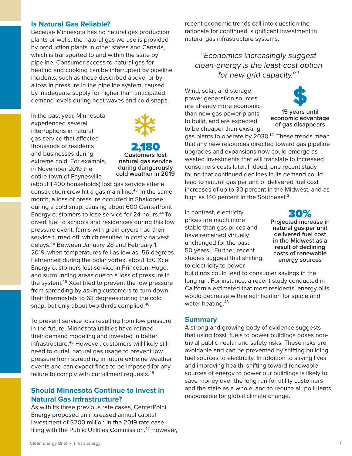## **Is Natural Gas Reliable?**

Because Minnesota has no natural gas production plants or wells, the natural gas we use is provided by production plants in other states and Canada, which is transported to and within the state by pipeline. Consumer access to natural gas for heating and cooking can be interrupted by pipeline incidents, such as those described above, or by a loss in pressure in the pipeline system, caused by inadequate supply for higher than anticipated demand levels during heat waves and cold snaps.

In the past year, Minnesota experienced several interruptions in natural gas service that affected thousands of residents and businesses during extreme cold. For example, in November 2019 the entire town of Paynesville



2,180 **Customers lost natural gas service during dangerously cold weather in 2019**

(about 1,400 households) lost gas service after a construction crew hit a gas main line. $43$  In the same month, a loss of pressure occurred in Shakopee during a cold snap, causing about 600 CenterPoint Energy customers to lose service for 24 hours.<sup>44</sup> To divert fuel to schools and residences during this low pressure event, farms with grain dryers had their service turned off, which resulted in costly harvest delays.45 Between January 28 and February 1, 2019, when temperatures fell as low as -56 degrees Fahrenheit during the polar vortex, about 180 Xcel Energy customers lost service in Princeton, Hugo, and surrounding areas due to a loss of pressure in the system.46 Xcel tried to prevent the low pressure from spreading by asking customers to turn down their thermostats to 63 degrees during the cold snap, but only about two-thirds complied.<sup>46</sup>

To prevent service loss resulting from low pressure in the future, Minnesota utilities have refined their demand modeling and invested in better infrastructure.<sup>46</sup> However, customers will likely still need to curtail natural gas usage to prevent low pressure from spreading in future extreme weather events and can expect fines to be imposed for any failure to comply with curtailment requests.<sup>46</sup>

## **Should Minnesota Continue to Invest in Natural Gas Infrastructure?**

As with its three previous rate cases, CenterPoint Energy proposed an increased annual capital investment of \$200 million in the 2019 rate case filing with the Public Utilities Commission.<sup>47</sup> However, recent economic trends call into question the rationale for continued, significant investment in natural gas infrastructure systems.

"Economics increasingly suggest clean-energy is the least-cost option for new grid capacity." $\frac{1}{1}$ 

Wind, solar, and storage power generation sources are already more economic than new gas power plants to build, and are expected to be cheaper than existing



**15 years until economic advantage of gas disappears**

gas plants to operate by 2030.<sup>1-2</sup> These trends mean that any new resources directed toward gas pipeline upgrades and expansions now could emerge as wasted investments that will translate to increased consumers costs later. Indeed, one recent study found that continued declines in its demand could lead to natural gas per unit of delivered fuel cost increases of up to 30 percent in the Midwest, and as high as 140 percent in the Southeast.<sup>2</sup>

In contrast, electricity prices are much more stable than gas prices and have remained virtually unchanged for the past 50 years.<sup>4</sup> Further, recent studies suggest that shifting to electricity to power

30%

**Projected increase in natural gas per unit delivered fuel cost in the Midwest as a result of declining costs of renewable energy sources** 

buildings could lead to consumer savings in the long run. For instance, a recent study conducted in California estimated that most residents' energy bills would decrease with electrification for space and water heating.<sup>48</sup>

## **Summary**

A strong and growing body of evidence suggests that using fossil fuels to power buildings poses nontrivial public health and safety risks. These risks are avoidable and can be prevented by shifting building fuel sources to electricity. In addition to saving lives and improving health, shifting toward renewable sources of energy to power our buildings is likely to save money over the long run for utility customers and the state as a whole, and to reduce air pollutants responsible for global climate change.